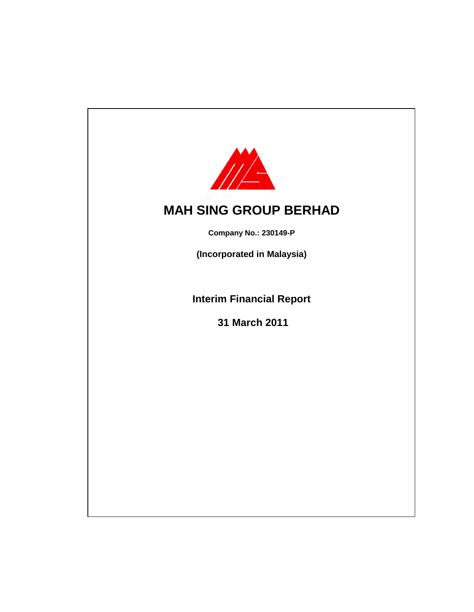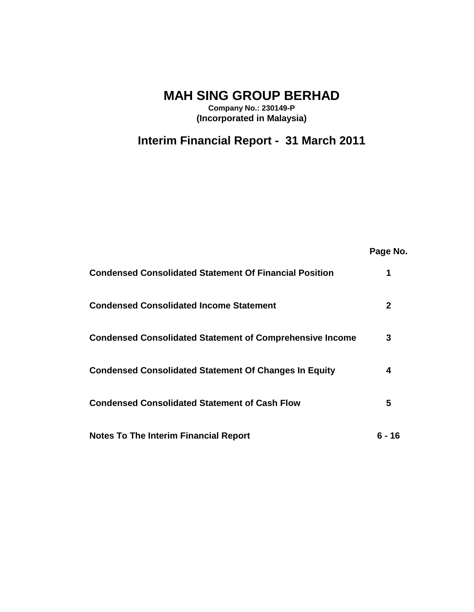**MAH SING GROUP BERHAD**

**Company No.: 230149-P (Incorporated in Malaysia)**

# **Interim Financial Report - 31 March 2011**

|                                                                 | Page No. |
|-----------------------------------------------------------------|----------|
| <b>Condensed Consolidated Statement Of Financial Position</b>   | 1        |
| <b>Condensed Consolidated Income Statement</b>                  | 2        |
| <b>Condensed Consolidated Statement of Comprehensive Income</b> | 3        |
| <b>Condensed Consolidated Statement Of Changes In Equity</b>    | 4        |
| <b>Condensed Consolidated Statement of Cash Flow</b>            | 5        |
| <b>Notes To The Interim Financial Report</b>                    | 6 - 16   |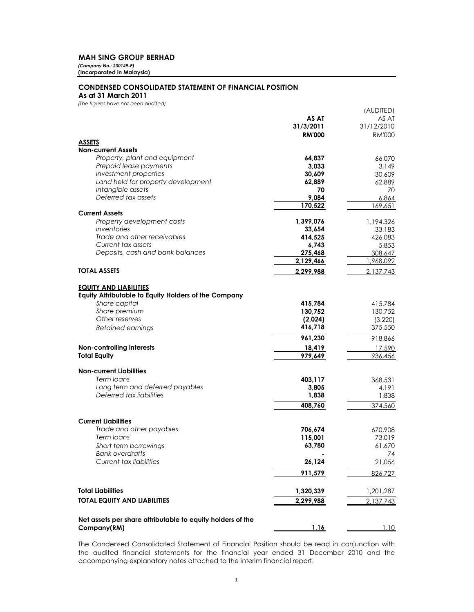#### **MAH SING GROUP BERHAD**

*(Company No.: 230149-P)* **(Incorporated in Malaysia)**

#### **CONDENSED CONSOLIDATED STATEMENT OF FINANCIAL POSITION**

**As at 31 March 2011**

*(The figures have not been audited)*

|                                                            |                   | (AUDITED)     |
|------------------------------------------------------------|-------------------|---------------|
|                                                            | AS AT             | AS AT         |
|                                                            | 31/3/2011         | 31/12/2010    |
|                                                            | <b>RM'000</b>     | <b>RM'000</b> |
| <b>ASSETS</b>                                              |                   |               |
| <b>Non-current Assets</b>                                  |                   |               |
| Property, plant and equipment                              | 64,837            | 66,070        |
| Prepaid lease payments                                     | 3,033             | 3,149         |
| Investment properties                                      | 30,609            | 30,609        |
| Land held for property development                         | 62,889            | 62,889        |
| Intangible assets                                          | 70                | 70            |
| Deferred tax assets                                        | 9,084             | 6,864         |
| <b>Current Assets</b>                                      | 170,522           | 169,651       |
| Property development costs                                 | 1,399,076         | 1,194,326     |
| Inventories                                                | 33,654            | 33,183        |
| Trade and other receivables                                | 414,525           | 426,083       |
| Current tax assets                                         | 6,743             | 5,853         |
| Deposits, cash and bank balances                           | 275,468           | 308,647       |
|                                                            | 2,129,466         | 1,968,092     |
| <b>TOTAL ASSETS</b>                                        | 2,299,988         | 2,137,743     |
|                                                            |                   |               |
| <b>EQUITY AND LIABILITIES</b>                              |                   |               |
| Equity Attributable to Equity Holders of the Company       |                   |               |
| Share capital                                              | 415,784           | 415,784       |
| Share premium                                              | 130,752           | 130,752       |
| Other reserves                                             | (2,024)           | (3,220)       |
| Retained earnings                                          | 416,718           | 375,550       |
|                                                            | 961,230           | 918,866       |
|                                                            |                   |               |
| Non-controlling interests<br><b>Total Equity</b>           | 18,419<br>979,649 | 17,590        |
|                                                            |                   | 936,456       |
| <b>Non-current Liabilities</b>                             |                   |               |
| Term loans                                                 | 403,117           | 368,531       |
| Long term and deferred payables                            | 3,805             | 4,191         |
| Deferred tax liabilities                                   | 1,838             | 1,838         |
|                                                            | 408,760           | 374,560       |
|                                                            |                   |               |
| <b>Current Liabilities</b>                                 |                   |               |
| Trade and other payables                                   | 706,674           | 670,908       |
| Term loans                                                 | 115,001           | 73,019        |
| Short term borrowings                                      | 63,780            | 61,670        |
| Bank overdrafts                                            |                   | 74            |
| <b>Current tax liabilities</b>                             | 26,124            | 21,056        |
|                                                            | 911,579           | 826,727       |
|                                                            |                   |               |
| <b>Total Liabilities</b>                                   | 1,320,339         | 1,201,287     |
| <b>TOTAL EQUITY AND LIABILITIES</b>                        |                   |               |
|                                                            | 2,299,988         | 2,137,743     |
|                                                            |                   |               |
| Net assets per share attributable to equity holders of the |                   |               |
| Company(RM)                                                | 1.16              | 1.10          |

The Condensed Consolidated Statement of Financial Position should be read in conjunction with the audited financial statements for the financial year ended 31 December 2010 and the accompanying explanatory notes attached to the interim financial report.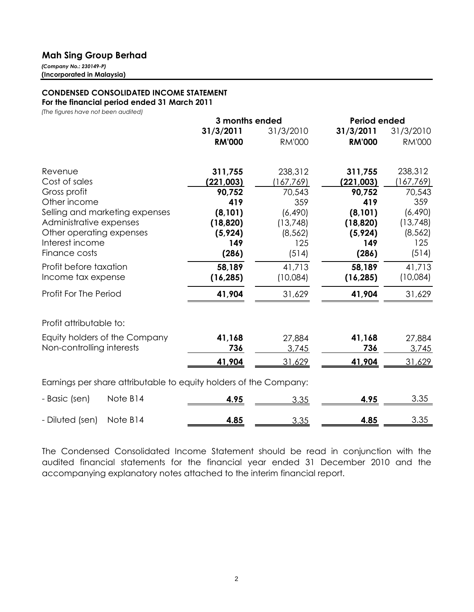### **Mah Sing Group Berhad**

*(Company No.: 230149-P)* **(Incorporated in Malaysia)**

### **CONDENSED CONSOLIDATED INCOME STATEMENT For the financial period ended 31 March 2011**

*(The figures have not been audited)*

|                                                                   | 3 months ended |               | <b>Period ended</b> |               |
|-------------------------------------------------------------------|----------------|---------------|---------------------|---------------|
|                                                                   | 31/3/2011      | 31/3/2010     | 31/3/2011           | 31/3/2010     |
|                                                                   | <b>RM'000</b>  | <b>RM'000</b> | <b>RM'000</b>       | <b>RM'000</b> |
| Revenue                                                           | 311,755        | 238,312       | 311,755             | 238,312       |
| Cost of sales                                                     | (221, 003)     | 167,769       | (221, 003)          | (167,769)     |
| Gross profit                                                      | 90,752         | 70,543        | 90,752              | 70,543        |
| Other income                                                      | 419            | 359           | 419                 | 359           |
| Selling and marketing expenses                                    | (8, 101)       | (6, 490)      | (8, 101)            | (6, 490)      |
| Administrative expenses                                           | (18, 820)      | (13,748)      | (18, 820)           | (13, 748)     |
| Other operating expenses                                          | (5, 924)       | (8, 562)      | (5, 924)            | (8, 562)      |
| Interest income                                                   | 149            | 125           | 149                 | 125           |
| Finance costs                                                     | (286)          | (514)         | (286)               | (514)         |
| Profit before taxation                                            | 58,189         | 41,713        | 58,189              | 41,713        |
| Income tax expense                                                | (16, 285)      | (10,084)      | (16, 285)           | (10,084)      |
| Profit For The Period                                             | 41,904         | 31,629        | 41,904              | 31,629        |
| Profit attributable to:                                           |                |               |                     |               |
| Equity holders of the Company                                     | 41,168         | 27,884        | 41,168              | 27,884        |
| Non-controlling interests                                         | 736            | 3,745         | 736                 | 3,745         |
|                                                                   | 41,904         | 31,629        | 41,904              | 31,629        |
| Earnings per share attributable to equity holders of the Company: |                |               |                     |               |
| Note B14<br>- Basic (sen)                                         | 4.95           | 3.35          | 4.95                | 3.35          |
| Note B14<br>- Diluted (sen)                                       | 4.85           | 3.35          | 4.85                | 3.35          |

The Condensed Consolidated Income Statement should be read in conjunction with the audited financial statements for the financial year ended 31 December 2010 and the accompanying explanatory notes attached to the interim financial report.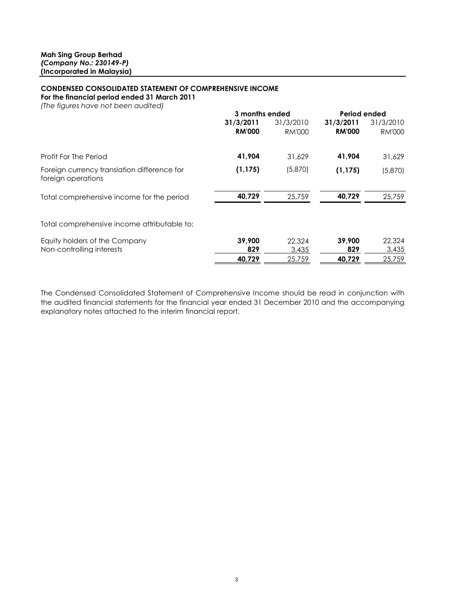## **CONDENSED CONSOLIDATED STATEMENT OF COMPREHENSIVE INCOME**

**For the financial period ended 31 March 2011**

| (The figures have not been audited) |  |
|-------------------------------------|--|
|-------------------------------------|--|

|                                                                   | 3 months ended |               | Period ended  |               |
|-------------------------------------------------------------------|----------------|---------------|---------------|---------------|
|                                                                   | 31/3/2011      | 31/3/2010     | 31/3/2011     | 31/3/2010     |
|                                                                   | <b>RM'000</b>  | <b>RM'000</b> | <b>RM'000</b> | <b>RM'000</b> |
| Profit For The Period                                             | 41,904         | 31,629        | 41,904        | 31,629        |
| Foreign currency translation difference for<br>foreign operations | (1, 175)       | (5,870)       | (1, 175)      | (5,870)       |
| Total comprehensive income for the period                         | 40,729         | 25,759        | 40,729        | 25,759        |
| Total comprehensive income attributable to:                       |                |               |               |               |
| Equity holders of the Company                                     | 39,900         | 22,324        | 39,900        | 22,324        |
| Non-controlling interests                                         | 829            | 3,435         | 829           | 3,435         |
|                                                                   | 40,729         | 25,759        | 40,729        | 25,759        |

The Condensed Consolidated Statement of Comprehensive Income should be read in conjunction with the audited financial statements for the financial year ended 31 December 2010 and the accompanying explanatory notes attached to the interim financial report.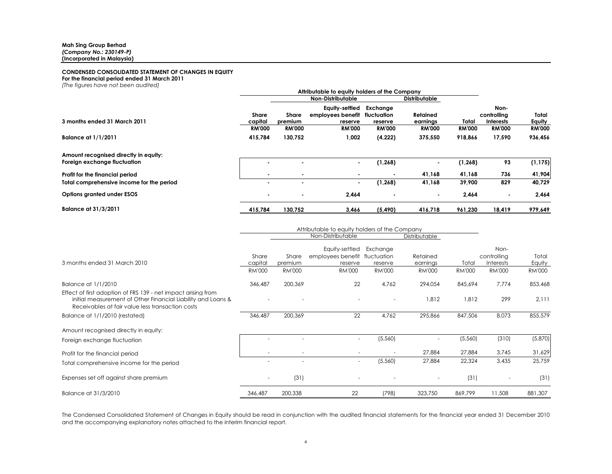#### **CONDENSED CONSOLIDATED STATEMENT OF CHANGES IN EQUITY**

**For the financial period ended 31 March 2011**

*(The figures have not been audited)*

| The induced not been dodled.                                          | Attributable to equity holders of the Company<br><b>Non-Distributable</b><br><b>Distributable</b> |                          |                                                |                                    |                             |               |                                  |                 |
|-----------------------------------------------------------------------|---------------------------------------------------------------------------------------------------|--------------------------|------------------------------------------------|------------------------------------|-----------------------------|---------------|----------------------------------|-----------------|
| 3 months ended 31 March 2011                                          | Share<br>capital                                                                                  | Share<br>premium         | Equity-settled<br>employees benefit<br>reserve | Exchange<br>fluctuation<br>reserve | <b>Retained</b><br>earnings | Total         | Non-<br>controlling<br>Interests | Total<br>Equity |
|                                                                       | <b>RM'000</b>                                                                                     | <b>RM'000</b>            | <b>RM'000</b>                                  | <b>RM'000</b>                      | <b>RM'000</b>               | <b>RM'000</b> | <b>RM'000</b>                    | <b>RM'000</b>   |
| <b>Balance at 1/1/2011</b>                                            | 415,784                                                                                           | 130,752                  | 1,002                                          | (4,222)                            | 375,550                     | 918,866       | 17,590                           | 936,456         |
| Amount recognised directly in equity:<br>Foreign exchange fluctuation |                                                                                                   |                          | $\blacksquare$                                 | (1, 268)                           | $\blacksquare$              | (1, 268)      | 93                               | (1, 175)        |
| Profit for the financial period                                       |                                                                                                   |                          |                                                |                                    | 41,168                      | 41,168        | 736                              | 41,904          |
| Total comprehensive income for the period                             |                                                                                                   | $\blacksquare$           | $\sim$                                         | (1, 268)                           | 41,168                      | 39,900        | 829                              | 40,729          |
| Options granted under ESOS                                            |                                                                                                   | $\overline{\phantom{a}}$ | 2,464                                          |                                    | $\overline{\phantom{a}}$    | 2,464         | $\blacksquare$                   | 2,464           |
| <b>Balance at 31/3/2011</b>                                           | 415.784                                                                                           | 130.752                  | 3,466                                          | (5, 490)                           | 416.718                     | 961.230       | 18.419                           | 979,649         |

|                                                                                                                                                                                   | Attributable to equity holders of the Company |                                   |                                                                             |                                      |                                       |                        |                                                   |                           |
|-----------------------------------------------------------------------------------------------------------------------------------------------------------------------------------|-----------------------------------------------|-----------------------------------|-----------------------------------------------------------------------------|--------------------------------------|---------------------------------------|------------------------|---------------------------------------------------|---------------------------|
|                                                                                                                                                                                   |                                               |                                   | Non-Distributable                                                           |                                      | Distributable                         |                        |                                                   |                           |
| 3 months ended 31 March 2010                                                                                                                                                      | Share<br>capital<br><b>RM'000</b>             | Share<br>premium<br><b>RM'000</b> | Equity-settled<br>employees benefit fluctuation<br>reserve<br><b>RM'000</b> | Exchange<br>reserve<br><b>RM'000</b> | Retained<br>earnings<br><b>RM'000</b> | Total<br><b>RM'000</b> | Non-<br>controlling<br>Interests<br><b>RM'000</b> | Total<br>Equity<br>RM'000 |
| Balance at 1/1/2010                                                                                                                                                               | 346,487                                       | 200,369                           | 22                                                                          | 4,762                                | 294,054                               | 845,694                | 7,774                                             | 853,468                   |
| Effect of first adoption of FRS 139 - net impact arising from<br>initial measurement of Other Financial Liability and Loans &<br>Receivables at fair value less transaction costs |                                               |                                   |                                                                             |                                      | 1,812                                 | 1,812                  | 299                                               | 2,111                     |
| Balance at 1/1/2010 (restated)                                                                                                                                                    | 346,487                                       | 200,369                           | 22                                                                          | 4,762                                | 295,866                               | 847,506                | 8,073                                             | 855,579                   |
| Amount recognised directly in equity:                                                                                                                                             |                                               |                                   |                                                                             |                                      |                                       |                        |                                                   |                           |
| Foreign exchange fluctuation                                                                                                                                                      |                                               |                                   |                                                                             | (5,560)                              |                                       | (5,560)                | (310)                                             | (5,870)                   |
| Profit for the financial period                                                                                                                                                   |                                               |                                   |                                                                             |                                      | 27,884                                | 27,884                 | 3,745                                             | 31,629                    |
| Total comprehensive income for the period                                                                                                                                         |                                               |                                   | $\overline{\phantom{a}}$                                                    | (5,560)                              | 27,884                                | 22,324                 | 3,435                                             | 25,759                    |
| Expenses set off against share premium                                                                                                                                            | $\overline{\phantom{a}}$                      | (31)                              |                                                                             |                                      |                                       | (31)                   |                                                   | (31)                      |
| Balance at 31/3/2010                                                                                                                                                              | 346,487                                       | 200,338                           | 22                                                                          | (798)                                | 323,750                               | 869,799                | 11,508                                            | 881,307                   |

The Condensed Consolidated Statement of Changes in Equity should be read in conjunction with the audited financial statements for the financial year ended 31 December 2010 and the accompanying explanatory notes attached to the interim financial report.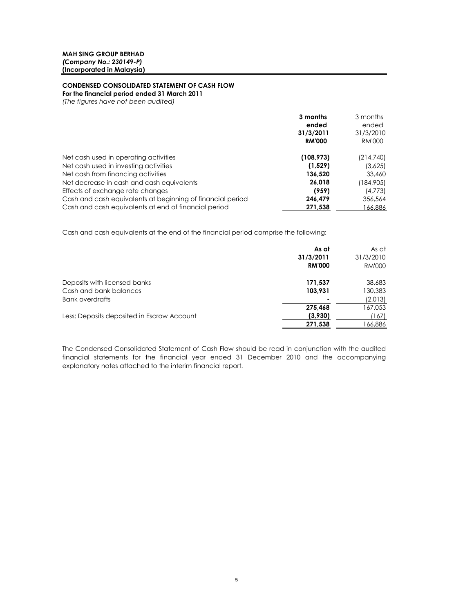### **CONDENSED CONSOLIDATED STATEMENT OF CASH FLOW**

**For the financial period ended 31 March 2011**

*(The figures have not been audited)*

|                                                            | 3 months      | 3 months      |
|------------------------------------------------------------|---------------|---------------|
|                                                            | ended         | ended         |
|                                                            | 31/3/2011     | 31/3/2010     |
|                                                            | <b>RM'000</b> | <b>RM'000</b> |
| Net cash used in operating activities                      | (108, 973)    | (214,740)     |
| Net cash used in investing activities                      | (1,529)       | (3,625)       |
| Net cash from financing activities                         | 136,520       | 33,460        |
| Net decrease in cash and cash equivalents                  | 26,018        | (184,905)     |
| Effects of exchange rate changes                           | (959)         | (4,773)       |
| Cash and cash equivalents at beginning of financial period | 246,479       | 356,564       |
| Cash and cash equivalents at end of financial period       | 271,538       | 166,886       |

Cash and cash equivalents at the end of the financial period comprise the following:

|                                            | As at<br>31/3/2011<br><b>RM'000</b> | As at<br>31/3/2010<br>RM'000 |
|--------------------------------------------|-------------------------------------|------------------------------|
| Deposits with licensed banks               | 171,537                             | 38,683                       |
| Cash and bank balances                     | 103,931                             | 130,383                      |
| <b>Bank overdrafts</b>                     |                                     | (2,013)                      |
|                                            | 275,468                             | 167,053                      |
| Less: Deposits deposited in Escrow Account | (3,930)                             | (167)                        |
|                                            | 271,538                             | 166,886                      |

The Condensed Consolidated Statement of Cash Flow should be read in conjunction with the audited financial statements for the financial year ended 31 December 2010 and the accompanying explanatory notes attached to the interim financial report.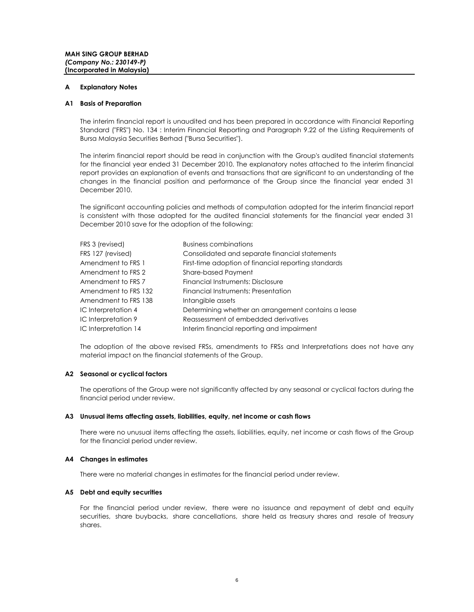#### **A Explanatory Notes**

#### **A1 Basis of Preparation**

The interim financial report is unaudited and has been prepared in accordance with Financial Reporting Standard ("FRS") No. 134 : Interim Financial Reporting and Paragraph 9.22 of the Listing Requirements of Bursa Malaysia Securities Berhad ("Bursa Securities").

The interim financial report should be read in conjunction with the Group's audited financial statements for the financial year ended 31 December 2010. The explanatory notes attached to the interim financial report provides an explanation of events and transactions that are significant to an understanding of the changes in the financial position and performance of the Group since the financial year ended 31 December 2010.

The significant accounting policies and methods of computation adopted for the interim financial report is consistent with those adopted for the audited financial statements for the financial year ended 31 December 2010 save for the adoption of the following:

| FRS 3 (revised)      | <b>Business combinations</b>                         |
|----------------------|------------------------------------------------------|
| FRS 127 (revised)    | Consolidated and separate financial statements       |
| Amendment to FRS 1   | First-time adoption of financial reporting standards |
| Amendment to FRS 2   | <b>Share-based Payment</b>                           |
| Amendment to FRS 7   | Financial Instruments: Disclosure                    |
| Amendment to FRS 132 | Financial Instruments: Presentation                  |
| Amendment to FRS 138 | Intangible assets                                    |
| IC Interpretation 4  | Determining whether an arrangement contains a lease  |
| IC Interpretation 9  | Reassessment of embedded derivatives                 |
| IC Interpretation 14 | Interim financial reporting and impairment           |

The adoption of the above revised FRSs, amendments to FRSs and Interpretations does not have any material impact on the financial statements of the Group.

#### **A2 Seasonal or cyclical factors**

The operations of the Group were not significantly affected by any seasonal or cyclical factors during the financial period under review.

#### **A3 Unusual items affecting assets, liabilities, equity, net income or cash flows**

There were no unusual items affecting the assets, liabilities, equity, net income or cash flows of the Group for the financial period under review.

#### **A4 Changes in estimates**

There were no material changes in estimates for the financial period under review.

#### **A5 Debt and equity securities**

For the financial period under review, there were no issuance and repayment of debt and equity securities, share buybacks, share cancellations, share held as treasury shares and resale of treasury shares.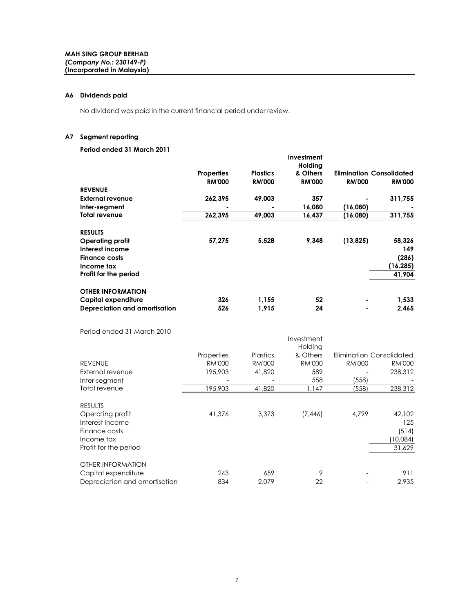#### **A6 Dividends paid**

No dividend was paid in the current financial period under review.

#### **A7 Segment reporting**

### **Period ended 31 March 2011**

|                               |                   |                 | Investment          |               |                          |
|-------------------------------|-------------------|-----------------|---------------------|---------------|--------------------------|
|                               |                   |                 | Holding<br>& Others |               |                          |
|                               | <b>Properties</b> | <b>Plastics</b> |                     |               | Elimination Consolidated |
|                               | <b>RM'000</b>     | <b>RM'000</b>   | <b>RM'000</b>       | <b>RM'000</b> | <b>RM'000</b>            |
| <b>REVENUE</b>                |                   |                 |                     |               |                          |
| External revenue              | 262,395           | 49,003          | 357                 |               | 311,755                  |
| Inter-segment                 |                   |                 | 16,080              | (16,080)      |                          |
| <b>Total revenue</b>          | 262,395           | 49,003          | 16,437              | (16,080)      | 311,755                  |
| <b>RESULTS</b>                |                   |                 |                     |               |                          |
| <b>Operating profit</b>       | 57,275            | 5,528           | 9,348               | (13, 825)     | 58,326                   |
| Interest income               |                   |                 |                     |               | 149                      |
| <b>Finance costs</b>          |                   |                 |                     |               | (286)                    |
| Income tax                    |                   |                 |                     |               | (16, 285)                |
| Profit for the period         |                   |                 |                     |               | 41,904                   |
| <b>OTHER INFORMATION</b>      |                   |                 |                     |               |                          |
| Capital expenditure           | 326               | 1,155           | 52                  |               | 1,533                    |
| Depreciation and amortisation | 526               | 1,915           | 24                  |               | 2,465                    |

Period ended 31 March 2010

| 1 01100 011000 01 11101011 2010 |               |                 | Investment<br>Holding |                          |               |
|---------------------------------|---------------|-----------------|-----------------------|--------------------------|---------------|
|                                 | Properties    | <b>Plastics</b> | & Others              | Elimination Consolidated |               |
| <b>REVENUE</b>                  | <b>RM'000</b> | <b>RM'000</b>   | <b>RM'000</b>         | <b>RM'000</b>            | <b>RM'000</b> |
| External revenue                | 195,903       | 41,820          | 589                   |                          | 238,312       |
| Inter-segment                   |               |                 | 558                   | (558)                    |               |
| Total revenue                   | 195,903       | 41,820          | 1,147                 | (558)                    | 238,312       |
| <b>RESULTS</b>                  |               |                 |                       |                          |               |
| Operating profit                | 41,376        | 3,373           | (7,446)               | 4,799                    | 42,102        |
| Interest income                 |               |                 |                       |                          | 125           |
| Finance costs                   |               |                 |                       |                          | (514)         |
| Income tax                      |               |                 |                       |                          | (10,084)      |
| Profit for the period           |               |                 |                       |                          | 31,629        |
| OTHER INFORMATION               |               |                 |                       |                          |               |
| Capital expenditure             | 243           | 659             | 9                     |                          | 911           |
| Depreciation and amortisation   | 834           | 2.079           | 22                    |                          | 2.935         |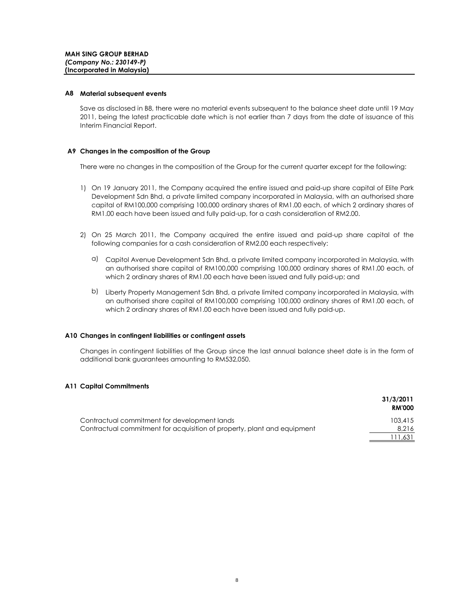#### **A8 Material subsequent events**

Save as disclosed in B8, there were no material events subsequent to the balance sheet date until 19 May 2011, being the latest practicable date which is not earlier than 7 days from the date of issuance of this Interim Financial Report.

#### **A9 Changes in the composition of the Group**

There were no changes in the composition of the Group for the current quarter except for the following:

- 1) On 19 January 2011, the Company acquired the entire issued and paid-up share capital of Elite Park Development Sdn Bhd, a private limited company incorporated in Malaysia, with an authorised share capital of RM100,000 comprising 100,000 ordinary shares of RM1.00 each, of which 2 ordinary shares of RM1.00 each have been issued and fully paid-up, for a cash consideration of RM2.00.
- 2) On 25 March 2011, the Company acquired the entire issued and paid-up share capital of the following companies for a cash consideration of RM2.00 each respectively:
	- a) Capitol Avenue Development Sdn Bhd, a private limited company incorporated in Malaysia, with an authorised share capital of RM100,000 comprising 100,000 ordinary shares of RM1.00 each, of which 2 ordinary shares of RM1.00 each have been issued and fully paid-up; and
	- b) Liberty Property Management Sdn Bhd, a private limited company incorporated in Malaysia, with an authorised share capital of RM100,000 comprising 100,000 ordinary shares of RM1.00 each, of which 2 ordinary shares of RM1.00 each have been issued and fully paid-up.

#### **A10 Changes in contingent liabilities or contingent assets**

Changes in contingent liabilities of the Group since the last annual balance sheet date is in the form of additional bank guarantees amounting to RM532,050.

#### **A11 Capital Commitments**

|                                                                         | 31/3/2011<br><b>RM'000</b> |
|-------------------------------------------------------------------------|----------------------------|
| Contractual commitment for development lands                            | 103,415                    |
| Contractual commitment for acquisition of property, plant and equipment | 8.216                      |
|                                                                         | .631                       |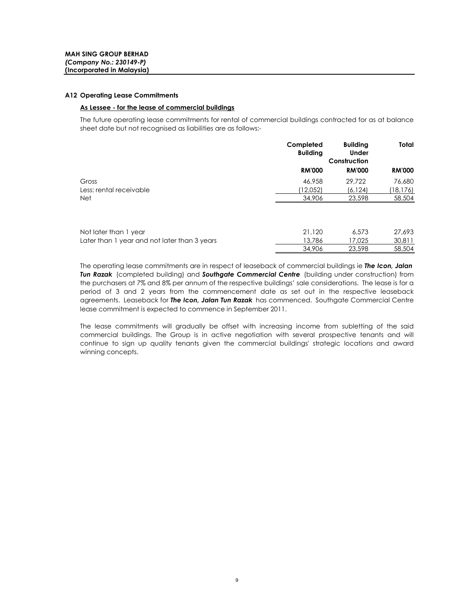#### **A12 Operating Lease Commitments**

#### **As Lessee - for the lease of commercial buildings**

Later than 1 year and not later than 3 years

The future operating lease commitments for rental of commercial buildings contracted for as at balance sheet date but not recognised as liabilities are as follows:-

|                         | Completed<br><b>Building</b> | <b>Building</b><br><b>Under</b><br>Construction | Total         |
|-------------------------|------------------------------|-------------------------------------------------|---------------|
|                         | <b>RM'000</b>                | <b>RM'000</b>                                   | <b>RM'000</b> |
| Gross                   | 46,958                       | 29.722                                          | 76,680        |
| Less: rental receivable | (12,052)                     | (6, 124)                                        | (18, 176)     |
| <b>Net</b>              | 34,906                       | 23,598                                          | 58,504        |
|                         |                              |                                                 |               |
| Not later than 1 year   | 21,120                       | 6,573                                           | 27,693        |

The operating lease commitments are in respect of leaseback of commercial buildings ie *The Icon, Jalan Tun Razak* (completed building) and *Southgate Commercial Centre* (building under construction) from the purchasers at 7% and 8% per annum of the respective buildings' sale considerations. The lease is for a period of 3 and 2 years from the commencement date as set out in the respective leaseback agreements. Leaseback for *The Icon, Jalan Tun Razak* has commenced. Southgate Commercial Centre lease commitment is expected to commence in September 2011.

13,786 17,025 30,811 34,906 23,598 58,504

The lease commitments will gradually be offset with increasing income from subletting of the said commercial buildings. The Group is in active negotiation with several prospective tenants and will continue to sign up quality tenants given the commercial buildings' strategic locations and award winning concepts.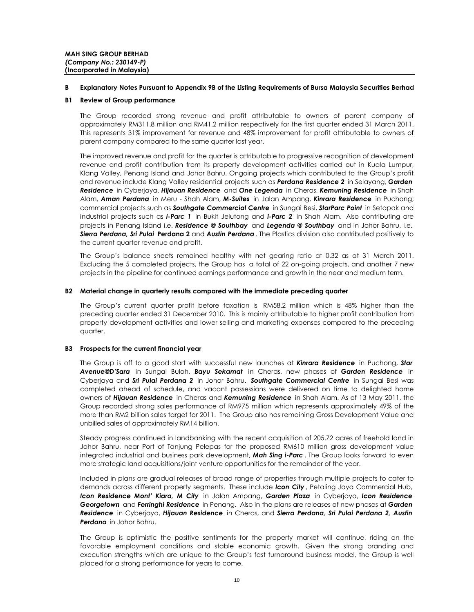#### **B Explanatory Notes Pursuant to Appendix 9B of the Listing Requirements of Bursa Malaysia Securities Berhad**

#### **B1 Review of Group performance**

The Group recorded strong revenue and profit attributable to owners of parent company of approximately RM311.8 million and RM41.2 million respectively for the first quarter ended 31 March 2011. This represents 31% improvement for revenue and 48% improvement for profit attributable to owners of parent company compared to the same quarter last year.

The improved revenue and profit for the quarter is attributable to progressive recognition of development revenue and profit contribution from its property development activities carried out in Kuala Lumpur, Klang Valley, Penang Island and Johor Bahru. Ongoing projects which contributed to the Group's profit and revenue include Klang Valley residential projects such as *Perdana Residence 2* in Selayang, *Garden Residence* in Cyberjaya, *Hijauan Residence* and *One Legenda* in Cheras, *Kemuning Residence* in Shah Alam, *Aman Perdana* in Meru - Shah Alam, *M-Suites* in Jalan Ampang, *Kinrara Residence* in Puchong; commercial projects such as *Southgate Commercial Centre* in Sungai Besi, *StarParc Point* in Setapak and industrial projects such as *i-Parc 1* in Bukit Jelutong and *i-Parc 2* in Shah Alam. Also contributing are projects in Penang Island i.e. *Residence @ Southbay* and *Legenda @ Southbay* and in Johor Bahru, i.e. *Sierra Perdana, Sri Pulai* **Perdana 2** and *Austin Perdana* . The Plastics division also contributed positively to the current quarter revenue and profit.

The Group's balance sheets remained healthy with net gearing ratio at 0.32 as at 31 March 2011. Excluding the 5 completed projects, the Group has a total of 22 on-going projects, and another 7 new projects in the pipeline for continued earnings performance and growth in the near and medium term.

#### **B2 Material change in quarterly results compared with the immediate preceding quarter**

The Group's current quarter profit before taxation is RM58.2 million which is 48% higher than the preceding quarter ended 31 December 2010. This is mainly attributable to higher profit contribution from property development activities and lower selling and marketing expenses compared to the preceding quarter.

#### **B3 Prospects for the current financial year**

The Group is off to a good start with successful new launches at *Kinrara Residence* in Puchong, *Star Avenue@D'Sara* in Sungai Buloh, *Bayu Sekamat* in Cheras, new phases of *Garden Residence* in Cyberjaya and *Sri Pulai Perdana 2* in Johor Bahru. *Southgate Commercial Centre* in Sungai Besi was completed ahead of schedule, and vacant possessions were delivered on time to delighted home owners of *Hijauan Residence* in Cheras and *Kemuning Residence* in Shah Alam. As of 13 May 2011, the Group recorded strong sales performance of RM975 million which represents approximately 49% of the more than RM2 billion sales target for 2011. The Group also has remaining Gross Development Value and unbilled sales of approximately RM14 billion.

Steady progress continued in landbanking with the recent acquisition of 205.72 acres of freehold land in Johor Bahru, near Port of Tanjung Pelepas for the proposed RM610 million gross development value integrated industrial and business park development, *Mah Sing i-Parc* . The Group looks forward to even more strategic land acquisitions/joint venture opportunities for the remainder of the year.

Included in plans are gradual releases of broad range of properties through multiple projects to cater to demands across different property segments. These include *Icon City* , Petaling Jaya Commercial Hub, *Icon Residence Mont' Kiara, M City* in Jalan Ampang, *Garden Plaza* in Cyberjaya, *Icon Residence Georgetown* and *Ferringhi Residence* in Penang. Also in the plans are releases of new phases at *Garden Residence* in Cyberjaya, *Hijauan Residence* in Cheras, and *Sierra Perdana, Sri Pulai Perdana 2, Austin Perdana* in Johor Bahru.

The Group is optimistic the positive sentiments for the property market will continue, riding on the favorable employment conditions and stable economic growth. Given the strong branding and execution strengths which are unique to the Group's fast turnaround business model, the Group is well placed for a strong performance for years to come.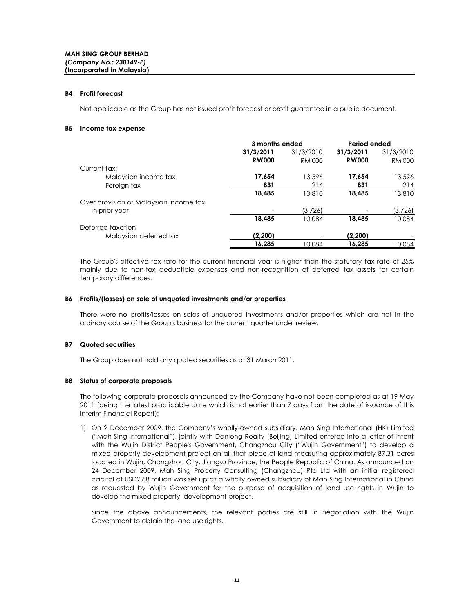#### **B4 Profit forecast**

Not applicable as the Group has not issued profit forecast or profit guarantee in a public document.

#### **B5 Income tax expense**

|                                        | 3 months ended |           | Period ended  |               |
|----------------------------------------|----------------|-----------|---------------|---------------|
|                                        | 31/3/2011      | 31/3/2010 | 31/3/2011     | 31/3/2010     |
|                                        | <b>RM'000</b>  | RM'000    | <b>RM'000</b> | <b>RM'000</b> |
| Current tax:                           |                |           |               |               |
| Malaysian income tax                   | 17,654         | 13,596    | 17,654        | 13,596        |
| Foreign tax                            | 831            | 214       | 831           | 214           |
|                                        | 18,485         | 13,810    | 18,485        | 13,810        |
| Over provision of Malaysian income tax |                |           |               |               |
| in prior year                          |                | (3,726)   |               | (3,726)       |
|                                        | 18,485         | 10,084    | 18,485        | 10.084        |
| Deferred taxation                      |                |           |               |               |
| Malaysian deferred tax                 | (2,200)        |           | (2,200)       |               |
|                                        | 16,285         | 10,084    | 16.285        | 10,084        |

The Group's effective tax rate for the current financial year is higher than the statutory tax rate of 25% mainly due to non-tax deductible expenses and non-recognition of deferred tax assets for certain temporary differences.

#### **B6 Profits/(losses) on sale of unquoted investments and/or properties**

There were no profits/losses on sales of unquoted investments and/or properties which are not in the ordinary course of the Group's business for the current quarter under review.

#### **B7 Quoted securities**

The Group does not hold any quoted securities as at 31 March 2011.

#### **B8 Status of corporate proposals**

The following corporate proposals announced by the Company have not been completed as at 19 May 2011 (being the latest practicable date which is not earlier than 7 days from the date of issuance of this Interim Financial Report):

1) On 2 December 2009, the Company's wholly-owned subsidiary, Mah Sing International (HK) Limited ("Mah Sing International"), jointly with Danlong Realty (Beijing) Limited entered into a letter of intent with the Wujin District People's Government, Changzhou City ("Wujin Government") to develop a mixed property development project on all that piece of land measuring approximately 87.31 acres located in Wujin, Changzhou City, Jiangsu Province, the People Republic of China. As announced on 24 December 2009, Mah Sing Property Consulting (Changzhou) Pte Ltd with an initial registered capital of USD29.8 million was set up as a wholly owned subsidiary of Mah Sing International in China as requested by Wujin Government for the purpose of acquisition of land use rights in Wujin to develop the mixed property development project.

Since the above announcements, the relevant parties are still in negotiation with the Wujin Government to obtain the land use rights.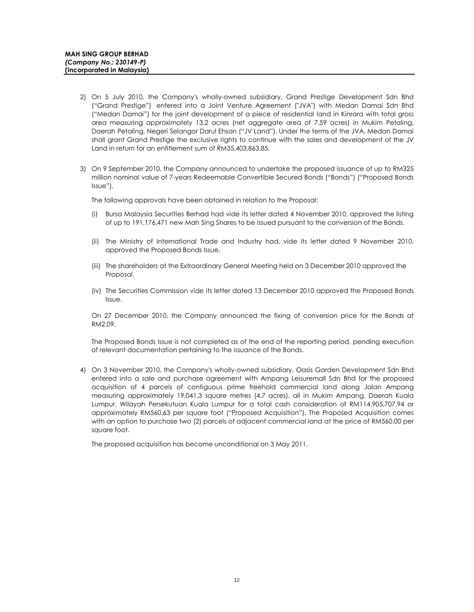- 2) On 5 July 2010, the Company's wholly-owned subsidiary, Grand Prestige Development Sdn Bhd ("Grand Prestige") entered into a Joint Venture Agreement ("JVA") with Medan Damai Sdn Bhd ("Medan Damai") for the joint development of a piece of residential land in Kinrara with total gross area measuring approximately 13.2 acres (net aggregate area of 7.59 acres) in Mukim Petaling, Daerah Petaling, Negeri Selangor Darul Ehsan ("JV Land"). Under the terms of the JVA, Medan Damai shall grant Grand Prestige the exclusive rights to continue with the sales and development of the JV Land in return for an entitlement sum of RM35,403,863.85.
- 3) On 9 September 2010, the Company announced to undertake the proposed issuance of up to RM325 million nominal value of 7-years Redeemable Convertible Secured Bonds ("Bonds") ("Proposed Bonds Issue").

The following approvals have been obtained in relation to the Proposal:

- (i) Bursa Malaysia Securities Berhad had vide its letter dated 4 November 2010, approved the listing of up to 191,176,471 new Mah Sing Shares to be issued pursuant to the conversion of the Bonds.
- (ii) The Ministry of International Trade and Industry had, vide its letter dated 9 November 2010, approved the Proposed Bonds Issue.
- (iii) The shareholders at the Extraordinary General Meeting held on 3 December 2010 approved the Proposal.
- (iv) The Securities Commission vide its letter dated 13 December 2010 approved the Proposed Bonds Issue.

On 27 December 2010, the Company announced the fixing of conversion price for the Bonds at RM2.09.

The Proposed Bonds Issue is not completed as of the end of the reporting period, pending execution of relevant documentation pertaining to the issuance of the Bonds.

4) On 3 November 2010, the Company's wholly-owned subsidiary, Oasis Garden Development Sdn Bhd entered into a sale and purchase agreement with Ampang Leisuremall Sdn Bhd for the proposed acquisition of 4 parcels of contiguous prime freehold commercial land along Jalan Ampang measuring approximately 19,041.3 square metres (4.7 acres), all in Mukim Ampang, Daerah Kuala Lumpur, Wilayah Persekutuan Kuala Lumpur for a total cash consideration of RM114,905,707.94 or approximately RM560.63 per square foot ("Proposed Acquisition"). The Proposed Acquisition comes with an option to purchase two (2) parcels of adjacent commercial land at the price of RM560.00 per square foot.

The proposed acquisition has become unconditional on 3 May 2011.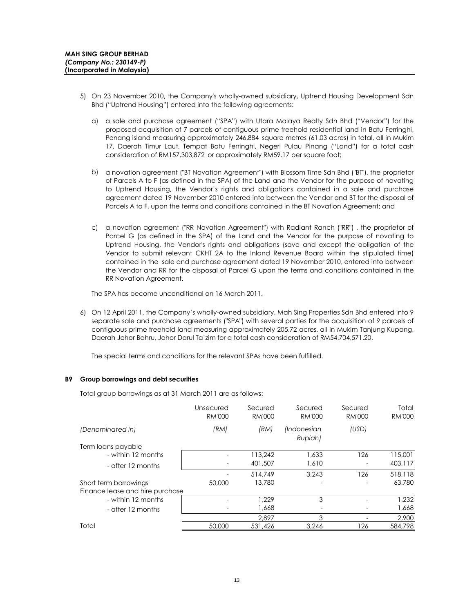- 5) On 23 November 2010, the Company's wholly-owned subsidiary, Uptrend Housing Development Sdn Bhd ("Uptrend Housing") entered into the following agreements:
	- a) a sale and purchase agreement ("SPA") with Utara Malaya Realty Sdn Bhd ("Vendor") for the proposed acquisition of 7 parcels of contiguous prime freehold residential land in Batu Ferringhi, Penang island measuring approximately 246,884 square metres (61.03 acres) in total, all in Mukim 17, Daerah Timur Laut, Tempat Batu Ferringhi, Negeri Pulau Pinang ("Land") for a total cash consideration of RM157,303,872 or approximately RM59.17 per square foot;
	- b) a novation agreement ("BT Novation Agreement") with Blossom Time Sdn Bhd ("BT"), the proprietor of Parcels A to F (as defined in the SPA) of the Land and the Vendor for the purpose of novating to Uptrend Housing, the Vendor's rights and obligations contained in a sale and purchase agreement dated 19 November 2010 entered into between the Vendor and BT for the disposal of Parcels A to F, upon the terms and conditions contained in the BT Novation Agreement; and
	- c) a novation agreement ("RR Novation Agreement") with Radiant Ranch ("RR") , the proprietor of Parcel G (as defined in the SPA) of the Land and the Vendor for the purpose of novating to Uptrend Housing, the Vendor's rights and obligations (save and except the obligation of the Vendor to submit relevant CKHT 2A to the Inland Revenue Board within the stipulated time) contained in the sale and purchase agreement dated 19 November 2010, entered into between the Vendor and RR for the disposal of Parcel G upon the terms and conditions contained in the RR Novation Agreement.

The SPA has become unconditional on 16 March 2011.

6) On 12 April 2011, the Company's wholly-owned subsidiary, Mah Sing Properties Sdn Bhd entered into 9 separate sale and purchase agreements ("SPA") with several parties for the acquisition of 9 parcels of contiguous prime freehold land measuring approximately 205.72 acres, all in Mukim Tanjung Kupang, Daerah Johor Bahru, Johor Darul Ta'zim for a total cash consideration of RM54,704,571.20.

The special terms and conditions for the relevant SPAs have been fulfilled.

#### **B9 Group borrowings and debt securities**

Total group borrowings as at 31 March 2011 are as follows:

|                                 | Unsecured<br><b>RM'000</b> | Secured<br><b>RM'000</b> | Secured<br><b>RM'000</b> | Secured<br><b>RM'000</b> | Total<br><b>RM'000</b> |
|---------------------------------|----------------------------|--------------------------|--------------------------|--------------------------|------------------------|
| (Denominated in)                | (RM)                       | (RM)                     | (Indonesian<br>Rupiah)   | (USD)                    |                        |
| Term loans payable              |                            |                          |                          |                          |                        |
| - within 12 months              |                            | 113.242                  | 1,633                    | 126                      | 115,001                |
| - after 12 months               |                            | 401,507                  | 1,610                    |                          | 403,117                |
|                                 |                            | 514,749                  | 3.243                    | 126                      | 518,118                |
| Short term borrowings           | 50,000                     | 13,780                   |                          |                          | 63,780                 |
| Finance lease and hire purchase |                            |                          |                          |                          |                        |
| - within 12 months              |                            | 1.229                    | 3                        |                          | 1,232                  |
| - after 12 months               |                            | 1.668                    |                          |                          | 1,668                  |
|                                 |                            | 2.897                    | 3                        |                          | 2,900                  |
| Total                           | 50,000                     | 531,426                  | 3,246                    | 126                      | 584,798                |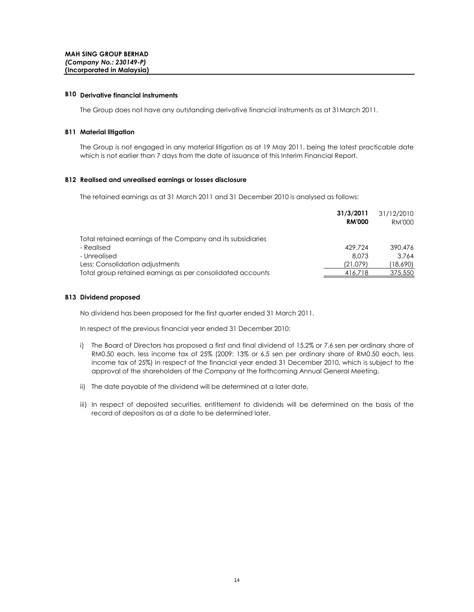#### **B10 Derivative financial instruments**

The Group does not have any outstanding derivative financial instruments as at 31March 2011.

#### **B11 Material litigation**

The Group is not engaged in any material litigation as at 19 May 2011, being the latest practicable date which is not earlier than 7 days from the date of issuance of this Interim Financial Report.

#### **B12 Realised and unrealised earnings or losses disclosure**

The retained earnings as at 31 March 2011 and 31 December 2010 is analysed as follows:

|                                                             | 31/3/2011     | 31/12/2010 |
|-------------------------------------------------------------|---------------|------------|
|                                                             | <b>RM'000</b> | RM'000     |
| Total retained earnings of the Company and its subsidiaries |               |            |
| - Realised                                                  | 429.724       | 390,476    |
| - Unrealised                                                | 8.073         | 3.764      |
| Less: Consolidation adjustments                             | (21.079)      | (18,690)   |
| Total group retained earnings as per consolidated accounts  | 416,718       | 375,550    |

#### **B13 Dividend proposed**

No dividend has been proposed for the first quarter ended 31 March 2011.

In respect of the previous financial year ended 31 December 2010:

- i) The Board of Directors has proposed a first and final dividend of 15.2% or 7.6 sen per ordinary share of RM0.50 each, less income tax of 25% (2009: 13% or 6.5 sen per ordinary share of RM0.50 each, less income tax of 25%) in respect of the financial year ended 31 December 2010, which is subject to the approval of the shareholders of the Company at the forthcoming Annual General Meeting.
- ii) The date payable of the dividend will be determined at a later date.
- iii) In respect of deposited securities, entitlement to dividends will be determined on the basis of the record of depositors as at a date to be determined later.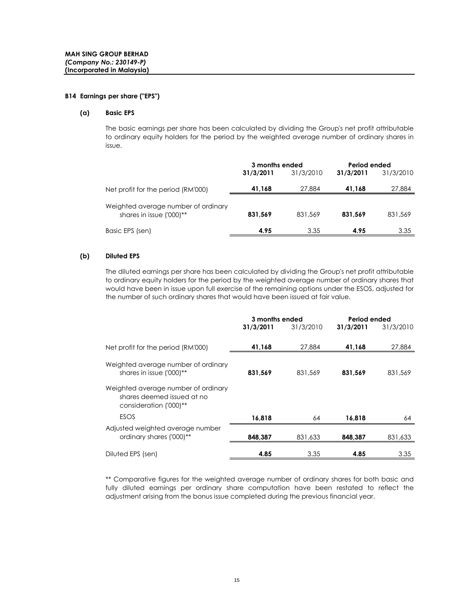#### **B14 Earnings per share ("EPS")**

#### **(a) Basic EPS**

The basic earnings per share has been calculated by dividing the Group's net profit attributable to ordinary equity holders for the period by the weighted average number of ordinary shares in issue.

|                                                                 | 3 months ended |           | Period ended |           |
|-----------------------------------------------------------------|----------------|-----------|--------------|-----------|
|                                                                 | 31/3/2011      | 31/3/2010 | 31/3/2011    | 31/3/2010 |
| Net profit for the period (RM'000)                              | 41,168         | 27,884    | 41,168       | 27,884    |
| Weighted average number of ordinary<br>shares in issue ('000)** | 831.569        | 831,569   | 831.569      | 831,569   |
| Basic EPS (sen)                                                 | 4.95           | 3.35      | 4.95         | 3.35      |

#### **(b) Diluted EPS**

The diluted earnings per share has been calculated by dividing the Group's net profit attributable to ordinary equity holders for the period by the weighted average number of ordinary shares that would have been in issue upon full exercise of the remaining options under the ESOS, adjusted for the number of such ordinary shares that would have been issued at fair value.

|                                                                                             | 3 months ended |           | Period ended |           |
|---------------------------------------------------------------------------------------------|----------------|-----------|--------------|-----------|
|                                                                                             | 31/3/2011      | 31/3/2010 | 31/3/2011    | 31/3/2010 |
|                                                                                             |                |           |              |           |
| Net profit for the period (RM'000)                                                          | 41,168         | 27,884    | 41,168       | 27,884    |
| Weighted average number of ordinary<br>shares in issue ('000)**                             | 831,569        | 831,569   | 831,569      | 831,569   |
| Weighted average number of ordinary<br>shares deemed issued at no<br>consideration ('000)** |                |           |              |           |
| <b>ESOS</b>                                                                                 | 16,818         | 64        | 16.818       | 64        |
| Adjusted weighted average number<br>ordinary shares ('000)**                                | 848,387        | 831,633   | 848,387      | 831,633   |
| Diluted EPS (sen)                                                                           | 4.85           | 3.35      | 4.85         | 3.35      |

\*\* Comparative figures for the weighted average number of ordinary shares for both basic and fully diluted earnings per ordinary share computation have been restated to reflect the adjustment arising from the bonus issue completed during the previous financial year.